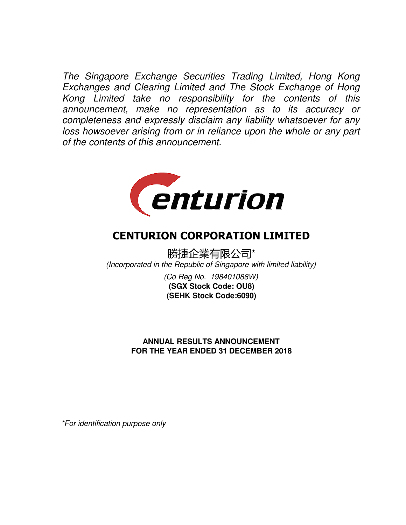The Singapore Exchange Securities Trading Limited, Hong Kong Exchanges and Clearing Limited and The Stock Exchange of Hong Kong Limited take no responsibility for the contents of this announcement, make no representation as to its accuracy or completeness and expressly disclaim any liability whatsoever for any loss howsoever arising from or in reliance upon the whole or any part of the contents of this announcement.



# CENTURION CORPORATION LIMITED

勝捷企業有限公司\* (Incorporated in the Republic of Singapore with limited liability)

> (Co Reg No. 198401088W) **(SEHK Stock Code:6090) (SGX Stock Code: OU8)**

# **FOR THE YEAR ENDED 31 DECEMBER 2018 ANNUAL RESULTS ANNOUNCEMENT**

\*For identification purpose only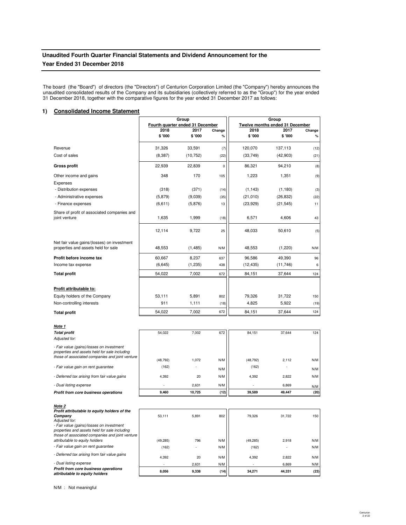# **Unaudited Fourth Quarter Financial Statements and Dividend Announcement for the Year Ended 31 December 2018**

The board (the "Board") of directors (the "Directors") of Centurion Corporation Limited (the "Company") hereby announces the unaudited consolidated results of the Company and its subsidiaries (collectively referred to as the "Group") for the year ended 31 December 2018, together with the comparative figures for the year ended 31 December 2017 as follows:

# **1) Consolidated Income Statement**

|                                                                                                  |           | Group<br>Fourth quarter ended 31 December |           | Group<br>Twelve months ended 31 December |           |                   |
|--------------------------------------------------------------------------------------------------|-----------|-------------------------------------------|-----------|------------------------------------------|-----------|-------------------|
|                                                                                                  | 2018      | 2017                                      | Change    | 2018                                     | 2017      | Change            |
|                                                                                                  | \$ '000   | \$ '000                                   | $\%$      | \$ '000                                  | \$'000    | %                 |
| Revenue                                                                                          | 31,326    | 33,591                                    | (7)       | 120,070                                  | 137,113   | (12)              |
| Cost of sales                                                                                    | (8,387)   | (10, 752)                                 | (22)      | (33, 749)                                | (42,903)  | (21)              |
| <b>Gross profit</b>                                                                              | 22,939    | 22,839                                    | $\pmb{0}$ | 86,321                                   | 94,210    | (8)               |
| Other income and gains                                                                           | 348       | 170                                       | 105       | 1,223                                    | 1,351     | (9)               |
| Expenses                                                                                         |           |                                           |           |                                          |           |                   |
| - Distribution expenses                                                                          | (318)     | (371)                                     | (14)      | (1, 143)                                 | (1, 180)  | (3)               |
| - Administrative expenses                                                                        | (5,879)   | (9,039)                                   | (35)      | (21, 010)                                | (26, 832) | (22)              |
| - Finance expenses                                                                               | (6, 611)  | (5,876)                                   | 13        | (23, 929)                                | (21, 545) | 11                |
| Share of profit of associated companies and<br>joint venture                                     | 1,635     | 1,999                                     | (18)      | 6,571                                    | 4,606     | 43                |
|                                                                                                  | 12,114    | 9,722                                     | 25        | 48,033                                   | 50,610    | (5)               |
| Net fair value gains/(losses) on investment                                                      |           |                                           |           |                                          |           |                   |
| properties and assets held for sale                                                              | 48,553    | (1, 485)                                  | N/M       | 48,553                                   | (1,220)   | N/M               |
| Profit before income tax                                                                         | 60,667    | 8,237                                     | 637       | 96,586                                   | 49,390    | 96                |
| Income tax expense                                                                               | (6,645)   | (1, 235)                                  | 438       | (12, 435)                                | (11,746)  | 6                 |
| <b>Total profit</b>                                                                              | 54,022    | 7,002                                     | 672       | 84,151                                   | 37,644    | 124               |
|                                                                                                  |           |                                           |           |                                          |           |                   |
| Profit attributable to:                                                                          |           |                                           |           |                                          |           |                   |
| Equity holders of the Company                                                                    | 53,111    | 5,891                                     | 802       | 79,326                                   | 31,722    | 150               |
| Non-controlling interests                                                                        | 911       | 1,111                                     | (18)      | 4,825                                    | 5,922     | (19)              |
| <b>Total profit</b>                                                                              | 54,022    | 7,002                                     | 672       | 84,151                                   | 37,644    | 124               |
| Note 1                                                                                           |           |                                           |           |                                          |           |                   |
| <b>Total profit</b>                                                                              | 54,022    | 7,002                                     | 672       | 84,151                                   | 37,644    | 124               |
| Adjusted for:                                                                                    |           |                                           |           |                                          |           |                   |
| - Fair value (gains)/losses on investment                                                        |           |                                           |           |                                          |           |                   |
| properties and assets held for sale including<br>those of associated companies and joint venture |           |                                           |           |                                          |           |                   |
|                                                                                                  | (48, 792) | 1,072                                     | N/M       | (48, 792)                                | 2,112     | N/M               |
| - Fair value gain on rent guarantee                                                              | (162)     |                                           | N/M       | (162)                                    |           | N/M               |
| - Deferred tax arising from fair value gains                                                     | 4,392     | 20                                        | N/M       | 4,392                                    | 2,822     | N/M               |
| - Dual listing expense                                                                           | l,        | 2,631                                     | N/M       | l,                                       | 6,869     | ${\sf N}/{\sf M}$ |
| Profit from core business operations                                                             | 9,460     | 10,725                                    | (12)      | 39,589                                   | 49,447    | (20)              |
| Note 2                                                                                           |           |                                           |           |                                          |           |                   |
| Profit attributable to equity holders of the                                                     |           |                                           |           |                                          |           |                   |
| Company<br>Adjusted for:                                                                         | 53,111    | 5,891                                     | 802       | 79,326                                   | 31,722    | 150               |
| - Fair value (gains)/losses on investment                                                        |           |                                           |           |                                          |           |                   |
| properties and assets held for sale including                                                    |           |                                           |           |                                          |           |                   |
| those of associated companies and joint venture<br>attributable to equity holders                | (49, 285) | 796                                       | N/M       | (49, 285)                                | 2,918     | N/M               |
| - Fair value gain on rent guarantee                                                              | (162)     |                                           | N/M       | (162)                                    |           | N/M               |
| - Deferred tax arising from fair value gains                                                     |           |                                           | N/M       |                                          |           |                   |
|                                                                                                  | 4,392     | 20                                        |           | 4.392                                    | 2.822     | N/M               |

 2,631 - N/M - 6,869 N/M  **9,338 8,056 (14) 34,271 44,331 (23)** 

- Dual listing expense

**Profit from core business operations attributable to equity holders**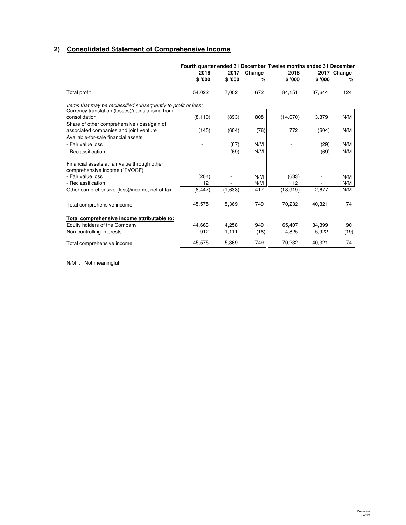# **2) Consolidated Statement of Comprehensive Income**

|                                                                                       |          |         |        | Fourth quarter ended 31 December Twelve months ended 31 December |        |             |
|---------------------------------------------------------------------------------------|----------|---------|--------|------------------------------------------------------------------|--------|-------------|
|                                                                                       | 2018     | 2017    | Change | 2018                                                             |        | 2017 Change |
|                                                                                       | \$'000   | \$'000  | %      | \$'000                                                           | \$'000 | %           |
| Total profit                                                                          | 54,022   | 7,002   | 672    | 84,151                                                           | 37,644 | 124         |
| Items that may be reclassified subsequently to profit or loss:                        |          |         |        |                                                                  |        |             |
| Currency translation (losses)/gains arising from<br>consolidation                     | (8, 110) | (893)   | 808    | (14,070)                                                         | 3,379  | N/M         |
| Share of other comprehensive (loss)/gain of<br>associated companies and joint venture | (145)    | (604)   | (76)   | 772                                                              | (604)  | N/M         |
| Available-for-sale financial assets<br>- Fair value loss                              |          | (67)    | N/M    |                                                                  | (29)   | N/M         |
| - Reclassification                                                                    |          | (69)    | N/M    |                                                                  | (69)   | N/M         |
| Financial assets at fair value through other<br>comprehensive income ("FVOCI")        |          |         |        |                                                                  |        |             |
| - Fair value loss                                                                     | (204)    |         | N/M    | (633)                                                            |        | N/M         |
| - Reclassification                                                                    | 12       |         | N/M    | 12                                                               |        | N/M         |
| Other comprehensive (loss)/income, net of tax                                         | (8, 447) | (1,633) | 417    | (13,919)                                                         | 2,677  | N/M         |
| Total comprehensive income                                                            | 45,575   | 5,369   | 749    | 70,232                                                           | 40,321 | 74          |
| Total comprehensive income attributable to:                                           |          |         |        |                                                                  |        |             |
| Equity holders of the Company                                                         | 44.663   | 4.258   | 949    | 65.407                                                           | 34.399 | 90          |
| Non-controlling interests                                                             | 912      | 1,111   | (18)   | 4,825                                                            | 5,922  | (19)        |
| Total comprehensive income                                                            | 45,575   | 5,369   | 749    | 70,232                                                           | 40.321 | 74          |

N/M : Not meaningful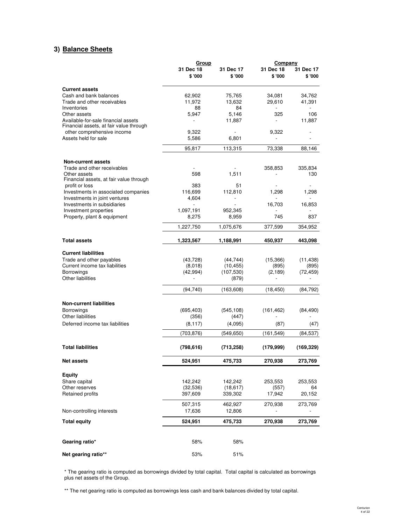# **3) Balance Sheets**

|                                                            | Group                |                        | Company             |                     |  |
|------------------------------------------------------------|----------------------|------------------------|---------------------|---------------------|--|
|                                                            | 31 Dec 18<br>\$ '000 | 31 Dec 17<br>\$'000    | 31 Dec 18<br>\$'000 | 31 Dec 17<br>\$'000 |  |
| <b>Current assets</b>                                      |                      |                        |                     |                     |  |
| Cash and bank balances                                     | 62,902               | 75,765                 | 34,081              | 34,762              |  |
| Trade and other receivables                                | 11,972               | 13,632                 | 29,610              | 41,391              |  |
| Inventories                                                | 88                   | 84                     |                     |                     |  |
| Other assets<br>Available-for-sale financial assets        | 5,947                | 5,146<br>11,887        | 325                 | 106<br>11,887       |  |
| Financial assets, at fair value through                    |                      |                        |                     |                     |  |
| other comprehensive income                                 | 9,322                |                        | 9,322               |                     |  |
| Assets held for sale                                       | 5,586                | 6,801                  |                     |                     |  |
|                                                            | 95,817               | 113.315                | 73,338              | 88,146              |  |
| <b>Non-current assets</b>                                  |                      |                        |                     |                     |  |
| Trade and other receivables                                |                      |                        | 358,853             | 335,834             |  |
| Other assets<br>Financial assets, at fair value through    | 598                  | 1,511                  |                     | 130                 |  |
| profit or loss                                             | 383                  | 51                     |                     |                     |  |
| Investments in associated companies                        | 116,699              | 112,810                | 1,298               | 1,298               |  |
| Investments in joint ventures                              | 4,604                |                        |                     |                     |  |
| Investments in subsidiaries<br>Investment properties       | L.<br>1,097,191      | 952,345                | 16,703              | 16,853              |  |
| Property, plant & equipment                                | 8,275                | 8,959                  | 745                 | 837                 |  |
|                                                            | 1,227,750            | 1,075,676              | 377,599             | 354,952             |  |
| <b>Total assets</b>                                        | 1,323,567            | 1,188,991              | 450,937             | 443,098             |  |
|                                                            |                      |                        |                     |                     |  |
| <b>Current liabilities</b>                                 |                      |                        |                     |                     |  |
| Trade and other payables<br>Current income tax liabilities | (43, 728)<br>(8,018) | (44, 744)<br>(10, 455) | (15,366)<br>(895)   | (11, 438)<br>(895)  |  |
| <b>Borrowings</b>                                          | (42, 994)            | (107, 530)             | (2, 189)            | (72, 459)           |  |
| Other liabilities                                          |                      | (879)                  |                     |                     |  |
|                                                            | (94, 740)            | (163, 608)             | (18, 450)           | (84, 792)           |  |
| <b>Non-current liabilities</b>                             |                      |                        |                     |                     |  |
| Borrowings                                                 | (695, 403)           | (545, 108)             | (161, 462)          | (84, 490)           |  |
| <b>Other liabilities</b>                                   | (356)                | (447)                  |                     |                     |  |
| Deferred income tax liabilities                            | (8, 117)             | (4,095)                | (87)                | (47)                |  |
|                                                            | (703, 876)           | (549, 650)             | (161, 549)          | (84, 537)           |  |
| <b>Total liabilities</b>                                   | (798, 616)           | (713, 258)             | (179,999)           | (169, 329)          |  |
| <b>Net assets</b>                                          | 524,951              | 475,733                | 270,938             | 273,769             |  |
| <b>Equity</b>                                              |                      |                        |                     |                     |  |
| Share capital                                              | 142,242              | 142,242                | 253,553             | 253,553             |  |
| Other reserves                                             | (32, 536)            | (18, 617)              | (557)               | 64                  |  |
| Retained profits                                           | 397,609              | 339,302                | 17,942              | 20,152              |  |
|                                                            | 507,315              | 462,927                | 270,938             | 273,769             |  |
| Non-controlling interests                                  | 17,636               | 12,806                 |                     |                     |  |
| <b>Total equity</b>                                        | 524,951              | 475,733                | 270,938             | 273,769             |  |
| Gearing ratio*                                             | 58%                  | 58%                    |                     |                     |  |
|                                                            |                      |                        |                     |                     |  |
| Net gearing ratio**                                        | 53%                  | 51%                    |                     |                     |  |

# \* The gearing ratio is computed as borrowings divided by total capital. Total capital is calculated as borrowings plus net assets of the Group.

\*\* The net gearing ratio is computed as borrowings less cash and bank balances divided by total capital.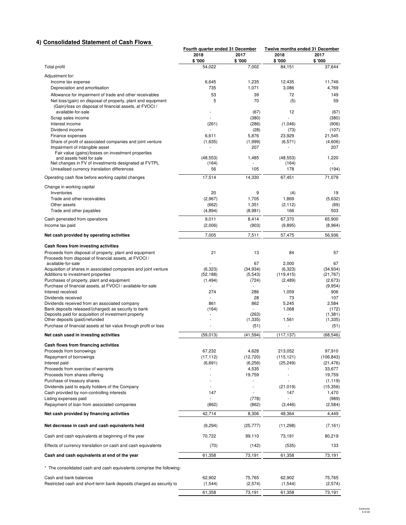# **4) Consolidated Statement of Cash Flows**

|                                                                                                                         | Fourth quarter ended 31 December |                  | <b>Twelve months ended 31 December</b> |                  |
|-------------------------------------------------------------------------------------------------------------------------|----------------------------------|------------------|----------------------------------------|------------------|
|                                                                                                                         | 2018                             | 2017             | 2018                                   | 2017             |
|                                                                                                                         | \$ '000                          | \$'000           | \$'000                                 | \$'000           |
| <b>Total profit</b>                                                                                                     | 54,022                           | 7.002            | 84,151                                 | 37,644           |
| Adjustment for:                                                                                                         |                                  |                  |                                        |                  |
| Income tax expense                                                                                                      | 6,645                            | 1,235            | 12.435                                 | 11.746           |
| Depreciation and amortisation                                                                                           | 735                              | 1,071            | 3,086                                  | 4,769            |
| Allowance for impairment of trade and other receivables                                                                 | 53                               | 39               | 72                                     | 149              |
| Net loss/(gain) on disposal of property, plant and equipment<br>(Gain)/loss on disposal of financial assets, at FVOCI / | 5                                | 70               | (5)                                    | 59               |
| available-for-sale                                                                                                      |                                  | (67)             | 12                                     | (67)             |
| Scrap sales income                                                                                                      |                                  | (380)            |                                        | (380)            |
| Interest income                                                                                                         | (261)                            | (286)            | (1,046)                                | (906)            |
| Dividend income                                                                                                         | ÷,                               | (28)             | (73)                                   | (107)            |
| Finance expenses                                                                                                        | 6,611                            | 5,876            | 23,929                                 | 21,545           |
| Share of profit of associated companies and joint venture                                                               | (1,635)                          | (1,999)          | (6, 571)                               | (4,606)          |
| Impairment of intangible asset                                                                                          |                                  | 207              |                                        | 207              |
| Fair value (gains)/losses on investment properties<br>and assets held for sale                                          | (48, 553)                        | 1,485            | (48, 553)                              | 1,220            |
| Net changes in FV of investments designated at FVTPL                                                                    | (164)                            |                  | (164)                                  |                  |
| Unrealised currency translation differences                                                                             | 56                               | 105              | 178                                    | (194)            |
| Operating cash flow before working capital changes                                                                      | 17,514                           | 14,330           | 67.451                                 | 71,079           |
|                                                                                                                         |                                  |                  |                                        |                  |
| Change in working capital                                                                                               |                                  |                  |                                        |                  |
| Inventories                                                                                                             | 20                               | 9                | (4)                                    | 19               |
| Trade and other receivables                                                                                             | (2,967)                          | 1.705            | 1,869                                  | (5,632)          |
| Other assets<br>Trade and other payables                                                                                | (662)<br>(4,894)                 | 1,351<br>(8,981) | (2, 112)<br>166                        | (69)<br>503      |
|                                                                                                                         |                                  |                  |                                        |                  |
| Cash generated from operations                                                                                          | 9,011                            | 8,414            | 67,370                                 | 65,900           |
| Income tax paid                                                                                                         | (2,006)                          | (903)            | (9,895)                                | (8,964)          |
| Net cash provided by operating activities                                                                               | 7,005                            | 7,511            | 57,475                                 | 56,936           |
|                                                                                                                         |                                  |                  |                                        |                  |
| Cash flows from investing activities                                                                                    |                                  |                  |                                        |                  |
| Proceeds from disposal of property, plant and equipment                                                                 | 21                               | 13               | 84                                     | 57               |
| Proceeds from disposal of financial assets, at FVOCI /                                                                  |                                  |                  |                                        |                  |
| available-for-sale<br>Acquisition of shares in associated companies and joint venture                                   | (6,323)                          | 67<br>(34, 934)  | 2,000<br>(6,323)                       | 67<br>(34, 934)  |
| Additions to investment properties                                                                                      | (52, 188)                        | (5, 543)         | (119, 415)                             | (21, 767)        |
| Purchases of property, plant and equipment                                                                              | (1, 494)                         | (724)            | (2,489)                                | (2,673)          |
| Purchase of financial assets, at FVOCI / available-for-sale                                                             |                                  |                  |                                        | (9,954)          |
| Interest received                                                                                                       | 274                              | 286              | 1,059                                  | 906              |
| Dividends received                                                                                                      |                                  | 28               | 73                                     | 107              |
| Dividends received from an associated company                                                                           | 861                              | 862              | 5,245                                  | 2,584            |
| Bank deposits released/(charged) as security to bank                                                                    | (164)                            |                  | 1,068                                  | (172)            |
| Deposits paid for acquisition of investment property<br>Other deposits (paid)/refunded                                  | ٠                                | (263)            | 1,561                                  | (1, 381)         |
| Purchase of financial assets at fair value through profit or loss                                                       |                                  | (1, 335)<br>(51) | ÷,                                     | (1, 335)<br>(51) |
|                                                                                                                         |                                  |                  |                                        |                  |
| Net cash used in investing activities                                                                                   | (59,013)                         | (41, 594)        | (117, 137)                             | (68, 546)        |
| Cash flows from financing activities                                                                                    |                                  |                  |                                        |                  |
| Proceeds from borrowings                                                                                                | 67,232                           | 4,628            | 213,052                                | 97,910           |
| Repayment of borrowings                                                                                                 | (17, 112)                        | (12, 720)        | (115, 121)                             | (106, 843)       |
| Interest paid                                                                                                           | (6,691)                          | (6,256)          | (25, 249)                              | (21, 476)        |
| Proceeds from exercise of warrants                                                                                      |                                  | 4,535            |                                        | 33,677           |
| Proceeds from shares offering                                                                                           |                                  | 19,759           | ä,                                     | 19,759           |
| Purchase of treasury shares                                                                                             |                                  |                  |                                        | (1, 119)         |
| Dividends paid to equity holders of the Company                                                                         |                                  | ÷,               | (21, 019)                              | (15, 356)        |
| Cash provided by non-controlling interests                                                                              | 147                              |                  | 147                                    | 1,470            |
| Listing expenses paid                                                                                                   |                                  | (778)            |                                        | (989)            |
| Repayment of loan from associated companies                                                                             | (862)                            | (862)            | (3, 446)                               | (2,584)          |
| Net cash provided by financing activities                                                                               | 42,714                           | 8,306            | 48,364                                 | 4,449            |
|                                                                                                                         |                                  |                  |                                        |                  |
| Net decrease in cash and cash equivalents held                                                                          | (9,294)                          | (25, 777)        | (11, 298)                              | (7, 161)         |
| Cash and cash equivalents at beginning of the year                                                                      | 70,722                           | 99,110           | 73,191                                 | 80,219           |
| Effects of currency translation on cash and cash equivalents                                                            | (70)                             | (142)            | (535)                                  | 133              |
| Cash and cash equivalents at end of the year                                                                            | 61,358                           | 73,191           | 61,358                                 | 73,191           |
| * The consolidated cash and cash equivalents comprise the following:                                                    |                                  |                  |                                        |                  |
| Cash and bank balances                                                                                                  | 62,902                           | 75,765           | 62,902                                 | 75,765           |
| Restricted cash and short-term bank deposits charged as security to                                                     | (1, 544)                         | (2,574)          | (1, 544)                               | (2,574)          |
|                                                                                                                         |                                  |                  |                                        |                  |
|                                                                                                                         | 61,358                           | 73,191           | 61,358                                 | 73,191           |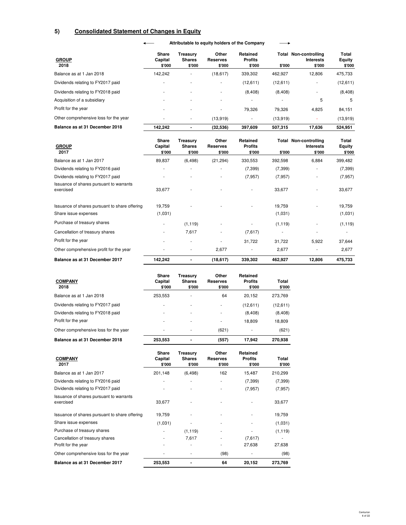# **5) Consolidated Statement of Changes in Equity**

#### **Attributable to equity holders of the Company**  $\leftarrow$

 $\overline{\phantom{0}}$ 

| <b>GROUP</b><br>2018                  | Share<br>Capital<br>\$'000 | Treasurv<br><b>Shares</b><br>\$'000 | Other<br><b>Reserves</b><br>\$'000 | Retained<br><b>Profits</b><br>\$'000 | \$'000   | Total Non-controlling<br><b>Interests</b><br>\$'000 | Total<br>Equity<br>\$'000 |
|---------------------------------------|----------------------------|-------------------------------------|------------------------------------|--------------------------------------|----------|-----------------------------------------------------|---------------------------|
| Balance as at 1 Jan 2018              | 142.242                    | ٠                                   | (18,617)                           | 339,302                              | 462.927  | 12,806                                              | 475,733                   |
| Dividends relating to FY2017 paid     |                            | ٠                                   |                                    | (12,611)                             | (12,611) | ٠                                                   | (12,611)                  |
| Dividends relating to FY2018 paid     | ۰                          | ٠                                   |                                    | (8,408)                              | (8,408)  | ۰                                                   | (8,408)                   |
| Acquisition of a subsidiary           | ۰                          | $\overline{\phantom{a}}$            |                                    | ۰                                    | ۰        | 5                                                   | 5                         |
| Profit for the year                   | ۰                          |                                     |                                    | 79.326                               | 79.326   | 4.825                                               | 84,151                    |
| Other comprehensive loss for the year |                            | ٠                                   | (13.919)                           | ۰                                    | (13,919) | ۰                                                   | (13,919)                  |
| Balance as at 31 December 2018        | 142.242                    |                                     | (32, 536)                          | 397,609                              | 507,315  | 17,636                                              | 524.951                   |

| <b>GROUP</b><br>2017                                 | <b>Share</b><br>Capital<br>\$'000 | Treasury<br><b>Shares</b><br>\$'000 | Other<br><b>Reserves</b><br>\$'000 | Retained<br><b>Profits</b><br>\$'000 | \$'000   | <b>Total Non-controlling</b><br><b>Interests</b><br>\$'000 | Total<br>Equity<br>\$'000 |
|------------------------------------------------------|-----------------------------------|-------------------------------------|------------------------------------|--------------------------------------|----------|------------------------------------------------------------|---------------------------|
| Balance as at 1 Jan 2017                             | 89,837                            | (6, 498)                            | (21, 294)                          | 330,553                              | 392,598  | 6,884                                                      | 399,482                   |
| Dividends relating to FY2016 paid                    | ٠                                 | ٠                                   | ٠                                  | (7, 399)                             | (7, 399) | ٠                                                          | (7, 399)                  |
| Dividends relating to FY2017 paid                    |                                   | ٠                                   | ٠                                  | (7, 957)                             | (7, 957) |                                                            | (7, 957)                  |
| Issuance of shares pursuant to warrants<br>exercised | 33,677                            |                                     |                                    |                                      | 33,677   |                                                            | 33,677                    |
| Issuance of shares pursuant to share offering        | 19,759                            |                                     |                                    |                                      | 19,759   |                                                            | 19,759                    |
| Share issue expenses                                 | (1,031)                           |                                     |                                    |                                      | (1,031)  |                                                            | (1,031)                   |
| Purchase of treasury shares                          | ٠                                 | (1, 119)                            | ٠                                  |                                      | (1, 119) |                                                            | (1, 119)                  |
| Cancellation of treasury shares                      |                                   | 7,617                               |                                    | (7,617)                              |          | ٠                                                          |                           |
| Profit for the year                                  | ۰                                 | ٠                                   |                                    | 31,722                               | 31,722   | 5,922                                                      | 37,644                    |
| Other comprehensive profit for the year              |                                   | ٠                                   | 2,677                              |                                      | 2,677    | ٠                                                          | 2,677                     |
| Balance as at 31 December 2017                       | 142,242                           |                                     | (18,617)                           | 339,302                              | 462,927  | 12,806                                                     | 475,733                   |

| <b>COMPANY</b><br>2018                | Share<br>Capital<br>\$'000 | Treasurv<br><b>Shares</b><br>\$'000 | Other<br>Reserves<br>\$'000 | <b>Retained</b><br><b>Profits</b><br>\$'000 | Total<br>\$'000 |
|---------------------------------------|----------------------------|-------------------------------------|-----------------------------|---------------------------------------------|-----------------|
| Balance as at 1 Jan 2018              | 253.553                    | $\overline{\phantom{a}}$            | 64                          | 20.152                                      | 273.769         |
| Dividends relating to FY2017 paid     |                            | $\overline{\phantom{a}}$            | ٠                           | (12,611)                                    | (12,611)        |
| Dividends relating to FY2018 paid     | ٠                          | ٠                                   | ٠                           | (8, 408)                                    | (8,408)         |
| Profit for the year                   |                            | $\overline{\phantom{a}}$            | ٠                           | 18.809                                      | 18,809          |
| Other comprehensive loss for the yaer |                            | $\overline{\phantom{a}}$            | (621)                       | ۰                                           | (621)           |
| Balance as at 31 December 2018        | 253,553                    |                                     | (557)                       | 17.942                                      | 270.938         |

| <b>COMPANY</b><br>2017                               | Share<br>Capital<br>\$'000 | Treasury<br><b>Shares</b><br>\$'000 | Other<br><b>Reserves</b><br>\$'000 | Retained<br><b>Profits</b><br>\$'000 | Total<br>\$'000 |
|------------------------------------------------------|----------------------------|-------------------------------------|------------------------------------|--------------------------------------|-----------------|
| Balance as at 1 Jan 2017                             | 201,148                    | (6, 498)                            | 162                                | 15,487                               | 210,299         |
| Dividends relating to FY2016 paid                    |                            |                                     |                                    | (7, 399)                             | (7, 399)        |
| Dividends relating to FY2017 paid                    |                            |                                     |                                    | (7, 957)                             | (7, 957)        |
| Issuance of shares pursuant to warrants<br>exercised | 33,677                     |                                     |                                    |                                      | 33,677          |
| Issuance of shares pursuant to share offering        | 19.759                     |                                     |                                    |                                      | 19,759          |
| Share issue expenses                                 | (1,031)                    |                                     |                                    |                                      | (1,031)         |
| Purchase of treasury shares                          |                            | (1, 119)                            | ٠                                  |                                      | (1, 119)        |
| Cancellation of treasury shares                      | ٠                          | 7,617                               |                                    | (7,617)                              |                 |
| Profit for the year                                  |                            |                                     |                                    | 27,638                               | 27,638          |
| Other comprehensive loss for the year                |                            |                                     | (98)                               |                                      | (98)            |
| Balance as at 31 December 2017                       | 253,553                    |                                     | 64                                 | 20,152                               | 273,769         |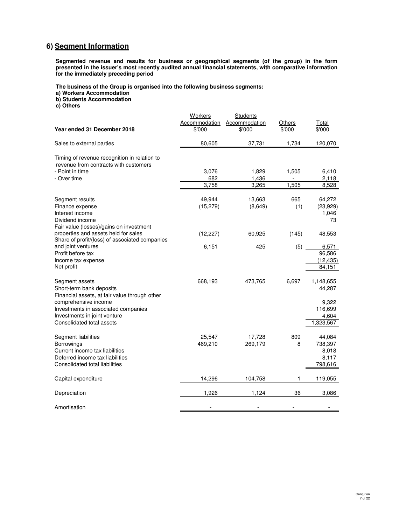# **6) Segment Information**

**Segmented revenue and results for business or geographical segments (of the group) in the form presented in the issuer's most recently audited annual financial statements, with comparative information for the immediately preceding period**

**The business of the Group is organised into the following business segments:**

**a) Workers Accommodation**

**b) Students Accommodation**

**c) Others**

| Year ended 31 December 2018                                                                                                                                                                                             | Workers<br>Accommodation<br>\$'000 | Students<br>Accommodation<br>\$'000 | Others<br>\$'000 | Total<br>\$'000                                               |
|-------------------------------------------------------------------------------------------------------------------------------------------------------------------------------------------------------------------------|------------------------------------|-------------------------------------|------------------|---------------------------------------------------------------|
| Sales to external parties                                                                                                                                                                                               | 80,605                             | 37,731                              | 1,734            | 120,070                                                       |
| Timing of revenue recognition in relation to<br>revenue from contracts with customers<br>- Point in time<br>- Over time                                                                                                 | 3,076<br>682<br>3,758              | 1,829<br>1,436<br>3,265             | 1,505<br>1,505   | 6,410<br>2,118<br>8,528                                       |
| Segment results<br>Finance expense<br>Interest income<br>Dividend income<br>Fair value (losses)/gains on investment                                                                                                     | 49,944<br>(15, 279)                | 13,663<br>(8,649)                   | 665<br>(1)       | 64,272<br>(23,929)<br>1,046<br>73                             |
| properties and assets held for sales<br>Share of profit/(loss) of associated companies                                                                                                                                  | (12, 227)                          | 60,925                              | (145)            | 48,553                                                        |
| and joint ventures<br>Profit before tax<br>Income tax expense<br>Net profit                                                                                                                                             | 6,151                              | 425                                 | (5)              | 6,571<br>96,586<br>(12, 435)<br>84,151                        |
| Segment assets<br>Short-term bank deposits<br>Financial assets, at fair value through other<br>comprehensive income<br>Investments in associated companies<br>Investments in joint venture<br>Consolidated total assets | 668,193                            | 473,765                             | 6,697            | 1,148,655<br>44,287<br>9,322<br>116,699<br>4,604<br>1,323,567 |
| Segment liabilities<br>Borrowings<br>Current income tax liabilities<br>Deferred income tax liabilities<br>Consolidated total liabilities                                                                                | 25,547<br>469,210                  | 17,728<br>269,179                   | 809<br>8         | 44,084<br>738,397<br>8,018<br>8,117<br>798,616                |
| Capital expenditure                                                                                                                                                                                                     | 14,296                             | 104,758                             | 1                | 119,055                                                       |
| Depreciation                                                                                                                                                                                                            | 1,926                              | 1,124                               | 36               | 3,086                                                         |
| Amortisation                                                                                                                                                                                                            |                                    |                                     |                  |                                                               |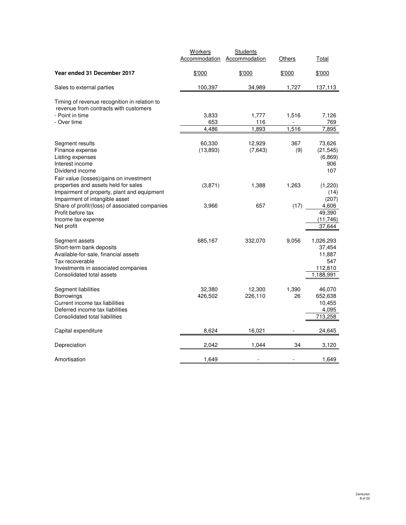|                                                                                                                                                                                                                                  | Workers<br>Accommodation | <b>Students</b><br>Accommodation | Others         | Total                                                              |
|----------------------------------------------------------------------------------------------------------------------------------------------------------------------------------------------------------------------------------|--------------------------|----------------------------------|----------------|--------------------------------------------------------------------|
| Year ended 31 December 2017                                                                                                                                                                                                      | \$'000                   | \$'000                           | \$'000         | \$'000                                                             |
| Sales to external parties                                                                                                                                                                                                        | 100,397                  | 34,989                           | 1,727          | 137,113                                                            |
| Timing of revenue recognition in relation to<br>revenue from contracts with customers<br>- Point in time<br>- Over time                                                                                                          | 3,833<br>653<br>4,486    | 1,777<br>116<br>1,893            | 1,516<br>1,516 | 7,126<br>769<br>7,895                                              |
| Segment results<br>Finance expense<br>Listing expenses<br>Interest income<br>Dividend income<br>Fair value (losses)/gains on investment                                                                                          | 60,330<br>(13, 893)      | 12,929<br>(7,643)                | 367<br>(9)     | 73,626<br>(21, 545)<br>(6,869)<br>906<br>107                       |
| properties and assets held for sales<br>Impairment of property, plant and equipment<br>Impairment of intangible asset<br>Share of profit/(loss) of associated companies<br>Profit before tax<br>Income tax expense<br>Net profit | (3,871)<br>3,966         | 1,388<br>657                     | 1,263<br>(17)  | (1,220)<br>(14)<br>(207)<br>4.606<br>49,390<br>(11, 746)<br>37,644 |
| Segment assets<br>Short-term bank deposits<br>Available-for-sale, financial assets<br>Tax recoverable<br>Investments in associated companies<br>Consolidated total assets                                                        | 685,167                  | 332,070                          | 9,056          | 1,026,293<br>37,454<br>11,887<br>547<br>112,810<br>1,188,991       |
| Segment liabilities<br>Borrowings<br>Current income tax liabilities<br>Deferred income tax liabilities<br>Consolidated total liabilities                                                                                         | 32,380<br>426,502        | 12,300<br>226,110                | 1,390<br>26    | 46,070<br>652,638<br>10,455<br>4,095<br>713,258                    |
| Capital expenditure                                                                                                                                                                                                              | 8,624                    | 16,021                           |                | 24,645                                                             |
| Depreciation                                                                                                                                                                                                                     | 2,042                    | 1,044                            | 34             | 3,120                                                              |
| Amortisation                                                                                                                                                                                                                     | 1,649                    | $\blacksquare$                   |                | 1,649                                                              |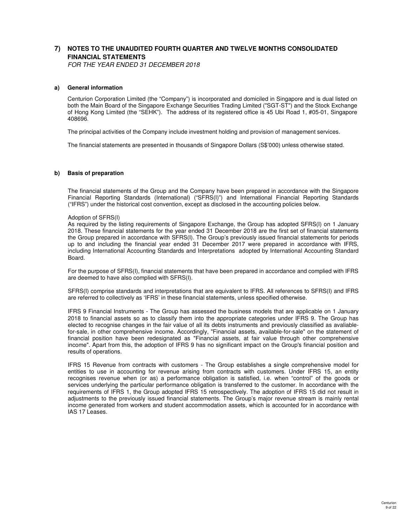# **7) NOTES TO THE UNAUDITED FOURTH QUARTER AND TWELVE MONTHS CONSOLIDATED FINANCIAL STATEMENTS**

FOR THE YEAR ENDED 31 DECEMBER 2018

## **a) General information**

Centurion Corporation Limited (the "Company") is incorporated and domiciled in Singapore and is dual listed on both the Main Board of the Singapore Exchange Securities Trading Limited ("SGT-ST") and the Stock Exchange of Hong Kong Limited (the "SEHK"). The address of its registered office is 45 Ubi Road 1, #05-01, Singapore 408696.

The principal activities of the Company include investment holding and provision of management services.

The financial statements are presented in thousands of Singapore Dollars (S\$'000) unless otherwise stated.

## **b) Basis of preparation**

The financial statements of the Group and the Company have been prepared in accordance with the Singapore Financial Reporting Standards (International) ("SFRS(I)") and International Financial Reporting Standards ("IFRS") under the historical cost convention, except as disclosed in the accounting policies below.

## Adoption of SFRS(I)

As required by the listing requirements of Singapore Exchange, the Group has adopted SFRS(I) on 1 January 2018. These financial statements for the year ended 31 December 2018 are the first set of financial statements the Group prepared in accordance with SFRS(I). The Group's previously issued financial statements for periods up to and including the financial year ended 31 December 2017 were prepared in accordance with IFRS, including International Accounting Standards and Interpretations adopted by International Accounting Standard Board.

For the purpose of SFRS(I), financial statements that have been prepared in accordance and complied with IFRS are deemed to have also complied with SFRS(I).

SFRS(I) comprise standards and interpretations that are equivalent to IFRS. All references to SFRS(I) and IFRS are referred to collectively as 'IFRS' in these financial statements, unless specified otherwise.

IFRS 9 Financial Instruments - The Group has assessed the business models that are applicable on 1 January 2018 to financial assets so as to classify them into the appropriate categories under IFRS 9. The Group has elected to recognise changes in the fair value of all its debts instruments and previously classified as avaliablefor-sale, in other comprehensive income. Accordingly, "Financial assets, available-for-sale" on the statement of financial position have been redesignated as "Financial assets, at fair value through other comprehensive income". Apart from this, the adoption of IFRS 9 has no significant impact on the Group's financial position and results of operations.

IFRS 15 Revenue from contracts with customers - The Group establishes a single comprehensive model for entities to use in accounting for revenue arising from contracts with customers. Under IFRS 15, an entity recognises revenue when (or as) a performance obligation is satisfied, i.e. when "control" of the goods or services underlying the particular performance obligation is transferred to the customer. In accordance with the requirements of IFRS 1, the Group adopted IFRS 15 retrospectively. The adoption of IFRS 15 did not result in adjustments to the previously issued financial statements. The Group's major revenue stream is mainly rental income generated from workers and student accommodation assets, which is accounted for in accordance with IAS 17 Leases.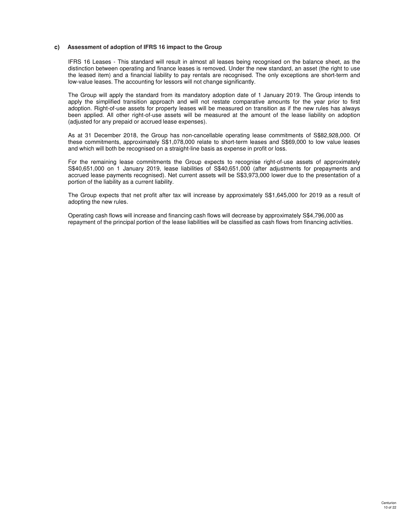## **c) Assessment of adoption of IFRS 16 impact to the Group**

IFRS 16 Leases - This standard will result in almost all leases being recognised on the balance sheet, as the distinction between operating and finance leases is removed. Under the new standard, an asset (the right to use the leased item) and a financial liability to pay rentals are recognised. The only exceptions are short-term and low-value leases. The accounting for lessors will not change significantly.

The Group will apply the standard from its mandatory adoption date of 1 January 2019. The Group intends to apply the simplified transition approach and will not restate comparative amounts for the year prior to first adoption. Right-of-use assets for property leases will be measured on transition as if the new rules has always been applied. All other right-of-use assets will be measured at the amount of the lease liability on adoption (adjusted for any prepaid or accrued lease expenses).

As at 31 December 2018, the Group has non-cancellable operating lease commitments of S\$82,928,000. Of these commitments, approximately S\$1,078,000 relate to short-term leases and S\$69,000 to low value leases and which will both be recognised on a straight-line basis as expense in profit or loss.

For the remaining lease commitments the Group expects to recognise right-of-use assets of approximately S\$40,651,000 on 1 January 2019, lease liabilities of S\$40,651,000 (after adjustments for prepayments and accrued lease payments recognised). Net current assets will be S\$3,973,000 lower due to the presentation of a portion of the liability as a current liability.

The Group expects that net profit after tax will increase by approximately S\$1,645,000 for 2019 as a result of adopting the new rules.

Operating cash flows will increase and financing cash flows will decrease by approximately S\$4,796,000 as repayment of the principal portion of the lease liabilities will be classified as cash flows from financing activities.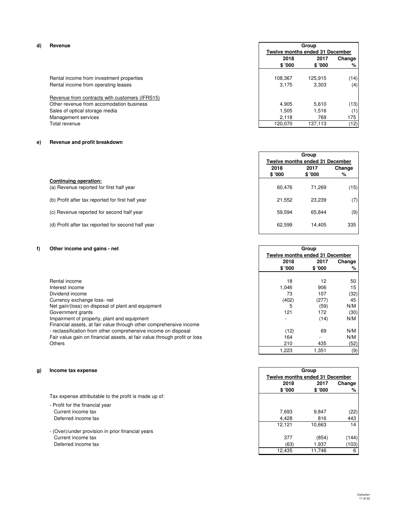## **d) Revenue**

|  |                                     | Rental income from investment properties |
|--|-------------------------------------|------------------------------------------|
|  | Rental income from operating leases |                                          |

# **e) Revenue and profit breakdown**

|                                                    | <b>Twelve months ended 31 December</b> |        |        |
|----------------------------------------------------|----------------------------------------|--------|--------|
|                                                    | 2018                                   | 2017   | Change |
|                                                    | \$ '000                                | \$'000 | %      |
| Continuing operation:                              |                                        |        |        |
| (a) Revenue reported for first half year           | 60.476                                 | 71.269 | (15)   |
| (b) Profit after tax reported for first half year  | 21.552                                 | 23,239 | (7)    |
| (c) Revenue reported for second half year          | 59.594                                 | 65.844 | (9)    |
| (d) Profit after tax reported for second half year | 62.599                                 | 14,405 | 335    |

**Fourth quarter ended 31 December**

## **f) Other income and gains - net**

|                                                                           | 2018   | 2017    | Change |
|---------------------------------------------------------------------------|--------|---------|--------|
|                                                                           | \$'000 | \$ '000 | %      |
|                                                                           |        |         |        |
| Rental income                                                             | 18     | 12      | 50     |
| Interest income                                                           | 1.046  | 906     | 15     |
| Dividend income                                                           | 73     | 107     | (32)   |
| Currency exchange loss-net                                                | (402)  | (277)   | 45     |
| Net gain/(loss) on disposal of plant and equipment                        | 5      | (59)    | N/M    |
| Government grants                                                         | 121    | 172     | (30)   |
| Impairment of property, plant and equipment                               |        | (14)    | N/M    |
| Financial assets, at fair value through other comprehensive income        |        |         |        |
| - reclassification from other comprehensive income on disposal            | (12)   | 69      | N/M    |
| Fair value gain on financial assets, at fair value through profit or loss | 164    |         | N/M    |
| <b>Others</b>                                                             | 210    | 435     | (52)   |
|                                                                           | 1.223  | 1.351   | (9)    |

### **g) Income tax expense**

Tax expense attributable to the profit is made up of:

- Profit for the financial year Current income tax Deferred income tax
- (Over)/under provision in prior financial years Current income tax (854) (144) 377 (854) (144) (149) 377 (854) (149) (149) 377 (159) (169) 377 (169) (169) (169) 1,937 (103) Deferred income tax (63) (12,435

| Revenue                                        |         | Group<br>Twelve months ended 31 December |        |  |  |
|------------------------------------------------|---------|------------------------------------------|--------|--|--|
|                                                |         |                                          |        |  |  |
|                                                | 2018    | 2017                                     | Change |  |  |
|                                                | \$'000  | \$ '000                                  | %      |  |  |
|                                                |         |                                          |        |  |  |
| Rental income from investment properties       | 108.367 | 125.915                                  | (14)   |  |  |
| Rental income from operating leases            | 3.175   | 3.303                                    | (4)    |  |  |
| Revenue from contracts with customers (IFRS15) |         |                                          |        |  |  |
| Other revenue from accomodation business       | 4.905   | 5.610                                    | (13)   |  |  |
| Sales of optical storage media                 | 1.505   | 1.516                                    | (1)    |  |  |
| Management services                            | 2.118   | 769                                      | 175    |  |  |
| Total revenue                                  | 120.070 | 137.113                                  | (12)   |  |  |

| Group<br><b>Twelve months ended 31 December</b> |        |        |  |
|-------------------------------------------------|--------|--------|--|
| 2018<br>2017<br>\$ '000<br>\$ '000<br>%         |        | Change |  |
| 60,476                                          | 71,269 | (15)   |  |
| 21.552                                          | 23.239 | (7)    |  |
| 59.594                                          | 65.844 | (9)    |  |
| 62,599                                          | 14.405 | 335    |  |
|                                                 |        |        |  |

 $\overline{\phantom{a}}$ 

**Group Twelve months ended 31 December**

| ıο                                     | ے ا     | ບບ          |
|----------------------------------------|---------|-------------|
| 1,046                                  | 906     | 15          |
| 73                                     | 107     | (32)        |
| (402)                                  | (277)   | 45          |
| 5                                      | (59)    | N/M         |
| 121                                    | 172     | (30)        |
|                                        | (14)    | N/M         |
|                                        |         |             |
| (12)                                   | 69      | N/M         |
| 164                                    |         | N/M         |
| 210                                    | 435     | (52)        |
| 1,223                                  | 1,351   | (9)         |
|                                        |         |             |
|                                        |         |             |
|                                        | Group   |             |
| <b>Twelve months ended 31 December</b> |         |             |
| 2018                                   | 2017    |             |
| \$ '000                                | \$ '000 | Change<br>℅ |
|                                        |         |             |
|                                        |         |             |
| 7,693                                  | 9,847   |             |
| 4,428                                  | 816     | (22)<br>443 |
| 12,121                                 | 10,663  | 14          |
|                                        |         |             |

 $11,746$  6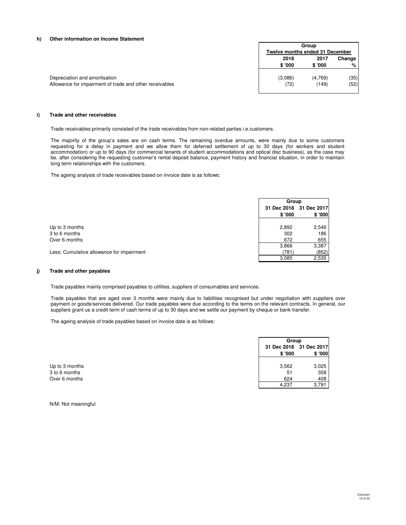#### **h) Other information on Income Statement**

|                                                         |         | Group<br>Twelve months ended 31 December |      |  |
|---------------------------------------------------------|---------|------------------------------------------|------|--|
|                                                         |         |                                          |      |  |
|                                                         | 2018    | 2017<br>Change                           |      |  |
|                                                         | \$'000  | \$'000                                   | %    |  |
| Depreciation and amortisation                           | (3,086) | (4,769)                                  | (35) |  |
| Allowance for impairment of trade and other receivables | (72)    | (149)                                    | (52) |  |
|                                                         |         |                                          |      |  |

#### **i) Trade and other receivables**

Trade receivables primarily consisted of the trade receivables from non-related parties i.e.customers.

The majority of the group's sales are on cash terms. The remaining overdue amounts, were mainly due to some customers requesting for a delay in payment and we allow them for deferred settlement of up to 30 days (for workers and student accommodation) or up to 90 days (for commercial tenants of student accommodations and optical disc business), as the case may be, after considering the requesting customer's rental deposit balance, payment history and financial situation, in order to maintain long term relationships with the customers.

The ageing analysis of trade receivables based on invoice date is as follows:

|                                           | Group  |                         |
|-------------------------------------------|--------|-------------------------|
|                                           |        | 31 Dec 2018 31 Dec 2017 |
|                                           | \$'000 | \$ '000                 |
|                                           |        |                         |
| Up to 3 months                            | 2,892  | 2,546                   |
| 3 to 6 months                             | 302    | 186                     |
| Over 6 months                             | 672    | 655                     |
|                                           | 3,866  | 3,387                   |
| Less: Cumulative allowance for impairment | (781)  | (852)                   |
|                                           | 3,085  | 2,535                   |

#### **j) Trade and other payables**

Trade payables mainly comprised payables to utilities, suppliers of consumables and services.

Trade payables that are aged over 3 months were mainly due to liabilities recognised but under negotiation with suppliers over payment or goods/services delivered. Our trade payables were due according to the terms on the relevant contracts. In general, our suppliers grant us a credit term of cash terms of up to 30 days and we settle our payment by cheque or bank transfer.

The ageing analysis of trade payables based on invoice date is as follows:

|                |        | Group                             |  |
|----------------|--------|-----------------------------------|--|
|                | \$'000 | 31 Dec 2018 31 Dec 2017<br>\$'000 |  |
| Up to 3 months | 3,562  | 3,025                             |  |
| 3 to 6 months  | 51     | 358                               |  |
| Over 6 months  | 624    | 408                               |  |
|                | 4.237  | 3.791                             |  |

N/M: Not meaningful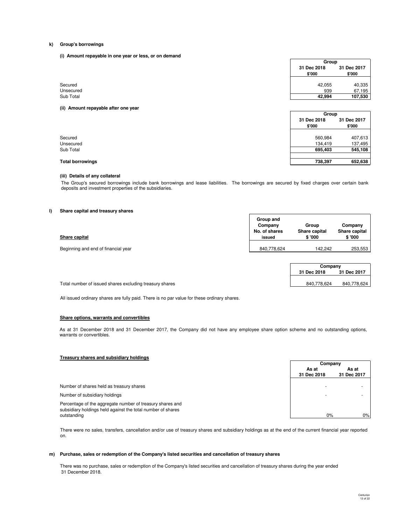#### **k) Group's borrowings**

**(i) Amount repayable in one year or less, or on demand**

|           |                       | Group                 |  |
|-----------|-----------------------|-----------------------|--|
|           | 31 Dec 2018<br>\$'000 | 31 Dec 2017<br>\$'000 |  |
|           |                       |                       |  |
| Secured   | 42,055                | 40,335                |  |
| Unsecured | 939                   | 67,195                |  |
| Sub Total | 42,994                | 107,530               |  |
|           |                       |                       |  |

| Group                 |                       |
|-----------------------|-----------------------|
| 31 Dec 2018<br>\$'000 | 31 Dec 2017<br>\$'000 |
|                       |                       |
| 560,984               | 407,613               |
| 134.419               | 137,495               |
| 695,403               | 545,108               |
|                       |                       |
| 738,397               | 652,638               |

# **Total borrowings**

## **(iii) Details of any collateral**

**(ii) Amount repayable after one year**

The Group's secured borrowings include bank borrowings and lease liabilities. The borrowings are secured by fixed charges over certain bank deposits and investment properties of the subsidiaries.

## **l) Share capital and treasury shares**

| Share capital                       | Group and<br>Company<br>No. of shares<br>issued | Group<br>Share capital<br>\$'000 | Company<br>Share capital<br>\$ '000 |
|-------------------------------------|-------------------------------------------------|----------------------------------|-------------------------------------|
| Beginning and end of financial year | 840,778,624                                     | 142.242                          | 253,553                             |

|             | Company     |  |  |  |
|-------------|-------------|--|--|--|
| 31 Dec 2018 | 31 Dec 2017 |  |  |  |
|             |             |  |  |  |
| 840.778.624 | 840,778,624 |  |  |  |

Total number of issued shares excluding treasury shares

All issued ordinary shares are fully paid. There is no par value for these ordinary shares.

#### **Share options, warrants and convertibles**

As at 31 December 2018 and 31 December 2017, the Company did not have any employee share option scheme and no outstanding options, warrants or convertibles.

## **Treasury shares and subsidiary holdings**

|                                                                                                                                         | Company     |             |
|-----------------------------------------------------------------------------------------------------------------------------------------|-------------|-------------|
|                                                                                                                                         | As at       | As at       |
|                                                                                                                                         | 31 Dec 2018 | 31 Dec 2017 |
| Number of shares held as treasury shares                                                                                                |             |             |
| Number of subsidiary holdings                                                                                                           |             |             |
| Percentage of the aggregate number of treasury shares and<br>subsidiary holdings held against the total number of shares<br>outstanding | $0\%$       | 0%          |

There were no sales, transfers, cancellation and/or use of treasury shares and subsidiary holdings as at the end of the current financial year reported on.

#### **m) Purchase, sales or redemption of the Company's listed securities and cancellation of treasury shares**

There was no purchase, sales or redemption of the Company's listed securities and cancellation of treasury shares during the year ended 31 December 2018.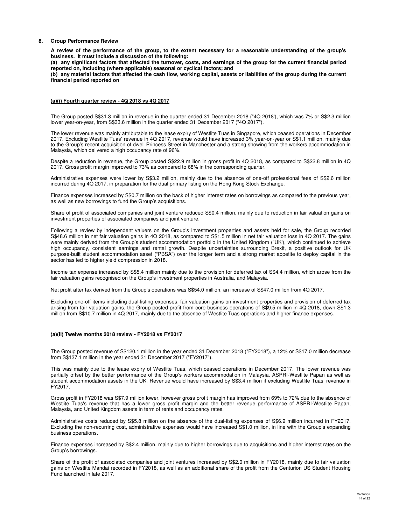### **8. Group Performance Review**

**A review of the performance of the group, to the extent necessary for a reasonable understanding of the group's business. It must include a discussion of the following:**

**(a) any significant factors that affected the turnover, costs, and earnings of the group for the current financial period reported on, including (where applicable) seasonal or cyclical factors; and**

**(b) any material factors that affected the cash flow, working capital, assets or liabilities of the group during the current financial period reported on**

#### **(a)(i) Fourth quarter review - 4Q 2018 vs 4Q 2017**

The Group posted S\$31.3 million in revenue in the quarter ended 31 December 2018 ("4Q 2018'), which was 7% or S\$2.3 million lower year-on-year, from S\$33.6 million in the quarter ended 31 December 2017 ("4Q 2017").

The lower revenue was mainly attributable to the lease expiry of Westlite Tuas in Singapore, which ceased operations in December 2017. Excluding Westlite Tuas' revenue in 4Q 2017, revenue would have increased 3% year-on-year or S\$1.1 million, mainly due to the Group's recent acquisition of dwell Princess Street in Manchester and a strong showing from the workers accommodation in Malaysia, which delivered a high occupancy rate of 96%.

Despite a reduction in revenue, the Group posted S\$22.9 million in gross profit in 4Q 2018, as compared to S\$22.8 million in 4Q 2017. Gross profit margin improved to 73% as compared to 68% in the corresponding quarter.

Administrative expenses were lower by S\$3.2 million, mainly due to the absence of one-off professional fees of S\$2.6 million incurred during 4Q 2017, in preparation for the dual primary listing on the Hong Kong Stock Exchange.

Finance expenses increased by S\$0.7 million on the back of higher interest rates on borrowings as compared to the previous year, as well as new borrowings to fund the Group's acquisitions.

Share of profit of associated companies and joint venture reduced S\$0.4 million, mainly due to reduction in fair valuation gains on investment properties of associated companies and joint venture.

Following a review by independent valuers on the Group's investment properties and assets held for sale, the Group recorded S\$48.6 million in net fair valuation gains in 4Q 2018, as compared to S\$1.5 million in net fair valuation loss in 4Q 2017. The gains were mainly derived from the Group's student accommodation portfolio in the United Kingdom ("UK'), which continued to achieve high occupancy, consistent earnings and rental growth. Despite uncertainties surrounding Brexit, a positive outlook for UK purpose-built student accommodation asset ("PBSA") over the longer term and a strong market appetite to deploy capital in the sector has led to higher yield compression in 2018.

Income tax expense increased by S\$5.4 million mainly due to the provision for deferred tax of S\$4.4 million, which arose from the fair valuation gains recognised on the Group's investment properties in Australia, and Malaysia.

Net profit after tax derived from the Group's operations was S\$54.0 million, an increase of S\$47.0 million from 4Q 2017.

Excluding one-off items including dual-listing expenses, fair valuation gains on investment properties and provision of deferred tax arising from fair valuation gains, the Group posted profit from core business operations of S\$9.5 million in 4Q 2018, down S\$1.3 million from S\$10.7 million in 4Q 2017, mainly due to the absence of Westlite Tuas operations and higher finance expenses.

### **(a)(ii) Twelve months 2018 review - FY2018 vs FY2017**

The Group posted revenue of S\$120.1 million in the year ended 31 December 2018 ("FY2018"), a 12% or S\$17.0 million decrease from S\$137.1 million in the year ended 31 December 2017 ("FY2017").

This was mainly due to the lease expiry of Westlite Tuas, which ceased operations in December 2017. The lower revenue was partially offset by the better performance of the Group's workers accommodation in Malaysia, ASPRI-Westlite Papan as well as student accommodation assets in the UK. Revenue would have increased by S\$3.4 million if excluding Westlite Tuas' revenue in FY2017.

Gross profit in FY2018 was S\$7.9 million lower, however gross profit margin has improved from 69% to 72% due to the absence of Westlite Tuas's revenue that has a lower gross profit margin and the better revenue performance of ASPRI-Westlite Papan, Malaysia, and United Kingdom assets in term of rents and occupancy rates.

Administrative costs reduced by S\$5.8 million on the absence of the dual-listing expenses of S\$6.9 million incurred in FY2017. Excluding the non-recurring cost, administrative expenses would have increased S\$1.0 million, in line with the Group's expanding business operations.

Finance expenses increased by S\$2.4 million, mainly due to higher borrowings due to acquisitions and higher interest rates on the Group's borrowings.

Share of the profit of associated companies and joint ventures increased by S\$2.0 million in FY2018, mainly due to fair valuation gains on Westlite Mandai recorded in FY2018, as well as an additional share of the profit from the Centurion US Student Housing Fund launched in late 2017.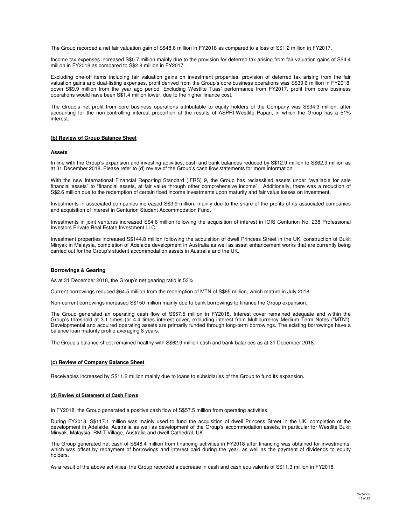The Group recorded a net fair valuation gain of S\$48.6 million in FY2018 as compared to a loss of S\$1.2 million in FY2017.

Income tax expenses increased S\$0.7 million mainly due to the provision for deferred tax arising from fair valuation gains of S\$4.4 million in FY2018 as compared to S\$2.8 million in FY2017.

Excluding one-off items including fair valuation gains on investment properties, provision of deferred tax arising from the fair valuation gains and dual-listing expenses, profit derived from the Group's core business operations was S\$39.6 million in FY2018, down S\$9.9 million from the year ago period. Excluding Westlite Tuas' performance from FY2017, profit from core business operations would have been S\$1.4 million lower, due to the higher finance cost.

The Group's net profit from core business operations attributable to equity holders of the Company was S\$34.3 million, after accounting for the non-controlling interest proportion of the results of ASPRI-Westlite Papan, in which the Group has a 51% interest.

#### **(b) Review of Group Balance Sheet**

#### **Assets**

In line with the Group's expansion and investing activities, cash and bank balances reduced by S\$12.9 million to S\$62.9 million as at 31 December 2018. Please refer to (d) review of the Group's cash flow statements for more information.

With the new International Financial Reporting Standard (IFRS) 9, the Group has reclassified assets under "available for sale financial assets" to "financial assets, at fair value through other comprehensive income". Additionally, there was a reduction of S\$2.6 million due to the redemption of certain fixed income investments upon maturity and fair value losses on investment.

Investments in associated companies increased S\$3.9 million, mainly due to the share of the profits of its associated companies and acquisition of interest in Centurion Student Accommodation Fund.

Investments in joint ventures increased S\$4.6 million following the acquisition of interest in IGIS Centurion No. 238 Professional Investors Private Real Estate Investment LLC.

Investment properties increased S\$144.8 million following the acquisition of dwell Princess Street in the UK, construction of Bukit Minyak in Malaysia, completion of Adelaide development in Australia as well as asset enhancement works that are currently being carried out for the Group's student accommodation assets in Australia and the UK.

### **Borrowings & Gearing**

As at 31 December 2018, the Group's net gearing ratio is 53%.

Current borrowings reduced \$64.5 million from the redemption of MTN of S\$65 million, which mature in July 2018.

Non-current borrowings increased S\$150 million mainly due to bank borrowings to finance the Group expansion.

The Group generated an operating cash flow of S\$57.5 million in FY2018. Interest cover remained adequate and within the Group's threshold at 3.1 times (or 4.4 times interest cover, excluding interest from Multicurrency Medium Term Notes ("MTN"). Developmental and acquired operating assets are primarily funded through long-term borrowings. The existing borrowings have a balance loan maturity profile averaging 8 years.

The Group's balance sheet remained healthy with S\$62.9 million cash and bank balances as at 31 December 2018.

### **(c) Review of Company Balance Sheet**

Receivables increased by S\$11.2 million mainly due to loans to subsidiaries of the Group to fund its expansion.

#### **(d) Review of Statement of Cash Flows**

In FY2018, the Group generated a positive cash flow of S\$57.5 million from operating activities.

During FY2018, S\$117.1 million was mainly used to fund the acquisition of dwell Princess Street in the UK, completion of the development in Adelaide, Australia as well as development of the Group's accommodation assets, in particular for Westlite Bukit Minyak, Malaysia, RMIT Village, Australia and dwell Cathedral, UK.

The Group generated net cash of S\$48.4 million from financing activities in FY2018 after financing was obtained for investments, which was offset by repayment of borrowings and interest paid during the year, as well as the payment of dividends to equity holders.

As a result of the above activities, the Group recorded a decrease in cash and cash equivalents of S\$11.3 million in FY2018.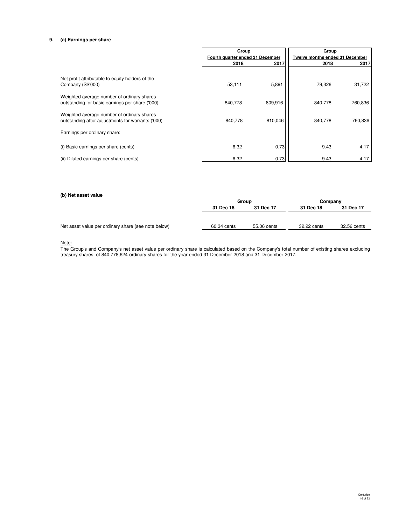## **9. (a) Earnings per share**

|                                                                                                 | Group                            |         | Group                           |         |
|-------------------------------------------------------------------------------------------------|----------------------------------|---------|---------------------------------|---------|
|                                                                                                 | Fourth quarter ended 31 December |         | Twelve months ended 31 December |         |
|                                                                                                 | 2018                             | 2017    | 2018                            | 2017    |
| Net profit attributable to equity holders of the<br>Company (S\$'000)                           | 53,111                           | 5,891   | 79,326                          | 31,722  |
| Weighted average number of ordinary shares<br>outstanding for basic earnings per share ('000)   | 840,778                          | 809,916 | 840,778                         | 760,836 |
| Weighted average number of ordinary shares<br>outstanding after adjustments for warrants ('000) | 840,778                          | 810,046 | 840,778                         | 760,836 |
| Earnings per ordinary share:                                                                    |                                  |         |                                 |         |
| (i) Basic earnings per share (cents)                                                            | 6.32                             | 0.73    | 9.43                            | 4.17    |
| (ii) Diluted earnings per share (cents)                                                         | 6.32                             | 0.73    | 9.43                            | 4.17    |

## **(b) Net asset value**

|                                                     |             | Group       |             | Company     |  |
|-----------------------------------------------------|-------------|-------------|-------------|-------------|--|
|                                                     | 31 Dec 18   | 31 Dec 17   | 31 Dec 18   | 31 Dec 17   |  |
|                                                     |             |             |             |             |  |
| Net asset value per ordinary share (see note below) | 60.34 cents | 55.06 cents | 32.22 cents | 32.56 cents |  |
|                                                     |             |             |             |             |  |

Note:

The Group's and Company's net asset value per ordinary share is calculated based on the Company's total number of existing shares excluding treasury shares, of 840,778,624 ordinary shares for the year ended 31 December 2018 and 31 December 2017.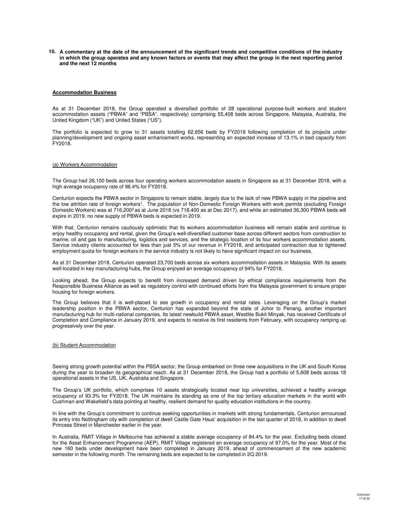**10. A commentary at the date of the announcement of the significant trends and competitive conditions of the industry in which the group operates and any known factors or events that may affect the group in the next reporting period and the next 12 months**

#### **Accommodation Business**

As at 31 December 2018, the Group operated a diversified portfolio of 28 operational purpose-built workers and student accommodation assets ("PBWA" and "PBSA", respectively) comprising 55,408 beds across Singapore, Malaysia, Australia, the United Kingdom ("UK") and United States ("US").

The portfolio is expected to grow to 31 assets totalling 62,656 beds by FY2019 following completion of its projects under planning/development and ongoing asset enhancement works, representing an expected increase of 13.1% in bed capacity from FY2018.

#### (a) Workers Accommodation

The Group had 26,100 beds across four operating workers accommodation assets in Singapore as at 31 December 2018, with a high average occupancy rate of 96.4% for FY2018.

Centurion expects the PBWA sector in Singapore to remain stable, largely due to the lack of new PBWA supply in the pipeline and the low attrition rate of foreign workers<sup>1</sup>. The population of Non-Domestic Foreign Workers with work permits (excluding Foreign Domestic Workers) was at 716,200<sup>2</sup> as at June 2018 (vs 718,400 as at Dec 2017), and while an estimated 36,300 PBWA beds will expire in 2019, no new supply of PBWA beds is expected in 2019.

With that, Centurion remains cautiously optimistic that its workers accommodation business will remain stable and continue to enjoy healthy occupancy and rental, given the Group's well-diversified customer base across different sectors from construction to marine, oil and gas to manufacturing, logistics and services, and the strategic location of its four workers accommodation assets. Service industry clients accounted for less than just 5% of our revenue in FY2018, and anticipated contraction due to tightened employment quota for foreign workers in the service industry is not likely to have significant impact on our business.

As at 31 December 2018, Centurion operated 23,700 beds across six workers accommodation assets in Malaysia. With its assets well-located in key manufacturing hubs, the Group enjoyed an average occupancy of 94% for FY2018.

Looking ahead, the Group expects to benefit from increased demand driven by ethical compliance requirements from the Responsible Business Alliance as well as regulatory control with continued efforts from the Malaysia government to ensure proper housing for foreign workers.

The Group believes that it is well-placed to see growth in occupancy and rental rates. Leveraging on the Group's market leadership position in the PBWA sector, Centurion has expanded beyond the state of Johor to Penang, another important manufacturing hub for multi-national companies. Its latest newbuild PBWA asset, Westlite Bukit Minyak, has received Certificate of Completion and Compliance in January 2019, and expects to receive its first residents from February, with occupancy ramping up progressively over the year.

#### (b) Student Accommodation

Seeing strong growth potential within the PBSA sector, the Group embarked on three new acquisitions in the UK and South Korea during the year to broaden its geographical reach. As at 31 December 2018, the Group had a portfolio of 5,608 beds across 18 operational assets in the US, UK, Australia and Singapore.

The Group's UK portfolio, which comprises 10 assets strategically located near top universities, achieved a healthy average occupancy of 93.3% for FY2018. The UK maintains its standing as one of the top tertiary education markets in the world with Cushman and Wakefield's data pointing at healthy, resilient demand for quality education institutions in the country.

In line with the Group's commitment to continue seeking opportunities in markets with strong fundamentals, Centurion announced its entry into Nottingham city with completion of dwell Castle Gate Haus' acquisition in the last quarter of 2018, in addition to dwell Princess Street in Manchester earlier in the year.

In Australia, RMIT Village in Melbourne has achieved a stable average occupancy of 84.4% for the year. Excluding beds closed for the Asset Enhancement Programme (AEP), RMIT Village registered an average occupancy of 97.0% for the year. Most of the new 160 beds under development have been completed in January 2019, ahead of commencement of the new academic semester in the following month. The remaining beds are expected to be completed in 2Q 2019.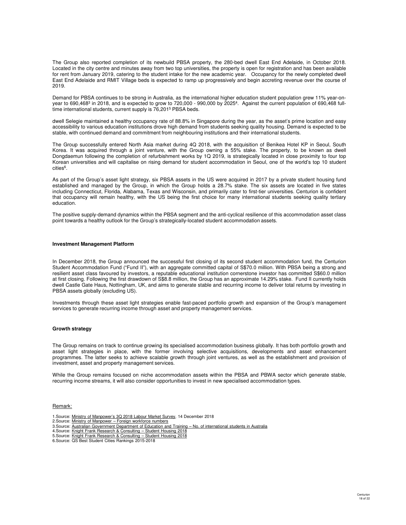The Group also reported completion of its newbuild PBSA property, the 280-bed dwell East End Adelaide, in October 2018. Located in the city centre and minutes away from two top universities, the property is open for registration and has been available for rent from January 2019, catering to the student intake for the new academic year. Occupancy for the newly completed dwell East End Adelaide and RMIT Village beds is expected to ramp up progressively and begin accreting revenue over the course of 2019.

Demand for PBSA continues to be strong in Australia, as the international higher education student population grew 11% year-onyear to 690,468<sup>3</sup> in 2018, and is expected to grow to 720,000 - 990,000 by 2025<sup>4</sup>. Against the current population of 690,468 fulltime international students, current supply is 76,201<sup>5</sup> PBSA beds.

dwell Selegie maintained a healthy occupancy rate of 88.8% in Singapore during the year, as the asset's prime location and easy accessibility to various education institutions drove high demand from students seeking quality housing. Demand is expected to be stable, with continued demand and commitment from neighbouring institutions and their international students.

The Group successfully entered North Asia market during 4Q 2018, with the acquisition of Benikea Hotel KP in Seoul, South Korea. It was acquired through a joint venture, with the Group owning a 55% stake. The property, to be known as dwell Dongdaemun following the completion of refurbishment works by 1Q 2019, is strategically located in close proximity to four top Korean universities and will capitalise on rising demand for student accommodation in Seoul, one of the world's top 10 student cities<sup>6</sup>.

As part of the Group's asset light strategy, six PBSA assets in the US were acquired in 2017 by a private student housing fund established and managed by the Group, in which the Group holds a 28.7% stake. The six assets are located in five states including Connecticut, Florida, Alabama, Texas and Wisconsin, and primarily cater to first-tier universities. Centurion is confident that occupancy will remain healthy, with the US being the first choice for many international students seeking quality tertiary education.

The positive supply-demand dynamics within the PBSA segment and the anti-cyclical resilience of this accommodation asset class point towards a healthy outlook for the Group's strategically-located student accommodation assets.

### **Investment Management Platform**

In December 2018, the Group announced the successful first closing of its second student accommodation fund, the Centurion Student Accommodation Fund ("Fund II"), with an aggregate committed capital of S\$70.0 million. With PBSA being a strong and resilient asset class favoured by investors, a reputable educational institution cornerstone investor has committed S\$60.0 million at first closing. Following the first drawdown of S\$8.8 million, the Group has an approximate 14.29% stake. Fund II currently holds dwell Castle Gate Haus, Nottingham, UK, and aims to generate stable and recurring income to deliver total returns by investing in PBSA assets globally (excluding US).

Investments through these asset light strategies enable fast-paced portfolio growth and expansion of the Group's management services to generate recurring income through asset and property management services.

#### **Growth strategy**

The Group remains on track to continue growing its specialised accommodation business globally. It has both portfolio growth and asset light strategies in place, with the former involving selective acquisitions, developments and asset enhancement programmes. The latter seeks to achieve scalable growth through joint ventures, as well as the establishment and provision of investment, asset and property management services.

While the Group remains focused on niche accommodation assets within the PBSA and PBWA sector which generate stable, recurring income streams, it will also consider opportunities to invest in new specialised accommodation types.

#### Remark:

- 1.Source: Ministry of Manpower's 3Q 2018 Labour Market Survey, 14 December 2018
- 2.Source: Ministry of Manpower Foreign workforce numbers 3.Source: Australian Government Department of Education and Training – No. of international students in Australia
- 4.Source: Knight Frank Research & Consulting Student Housing 2018
- 5.Source: Knight Frank Research & Consulting Student Housing 2018
- 6.Source: QS Best Student Cities Rankings 2015-2018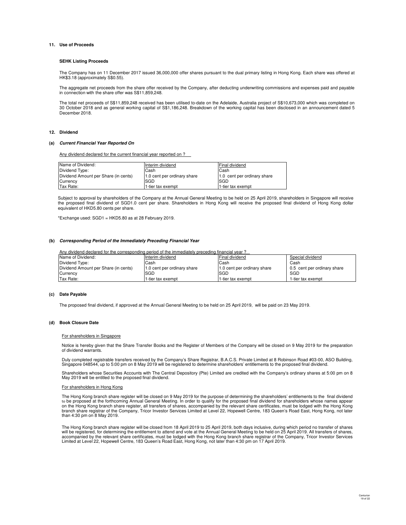### **11. Use of Proceeds**

### **SEHK Listing Proceeds**

The Company has on 11 December 2017 issued 36,000,000 offer shares pursuant to the dual primary listing in Hong Kong. Each share was offered at HK\$3.18 (approximately S\$0.55).

The aggregate net proceeds from the share offer received by the Company, after deducting underwriting commissions and expenses paid and payable in connection with the share offer was S\$11,859,248.

The total net proceeds of S\$11,859,248 received has been utilised to-date on the Adelaide, Australia project of S\$10,673,000 which was completed on 30 October 2018 and as general working capital of S\$1,186,248. Breakdown of the working capital has been disclosed in an announcement dated 5 December 2018.

#### **12. Dividend**

#### **(a) Current Financial Year Reported On**

Any dividend declared for the current financial year reported on ?

| Name of Dividend:                    | Interim dividend            | Final dividend              |
|--------------------------------------|-----------------------------|-----------------------------|
| Dividend Type:                       | Cash                        | Cash                        |
| Dividend Amount per Share (in cents) | 1.0 cent per ordinary share | 1.0 cent per ordinary share |
| Currency                             | <b>ISGD</b>                 | SGD                         |
| Tax Rate:                            | 1-tier tax exempt           | 1-tier tax exempt           |

Subject to approval by shareholders of the Company at the Annual General Meeting to be held on 25 April 2019, shareholders in Singapore will receive the proposed final dividend of SGD1.0 cent per share. Shareholders in Hong Kong will receive the proposed final dividend of Hong Kong dollar equivalent of HKD5.80 cents per share.

\*Exchange used: SGD1 = HKD5.80 as at 28 February 2019.

#### **(b) Corresponding Period of the Immediately Preceding Financial Year**

| Any dividend declared for the corresponding period of the immediately preceding financial year? |                             |                             |                             |  |
|-------------------------------------------------------------------------------------------------|-----------------------------|-----------------------------|-----------------------------|--|
| Name of Dividend:                                                                               | Interim dividend            | Final dividend              | Special dividend            |  |
| Dividend Type:                                                                                  | Cash                        | Cash                        | Cash                        |  |
| Dividend Amount per Share (in cents)                                                            | 1.0 cent per ordinary share | 1.0 cent per ordinary share | 0.5 cent per ordinary share |  |
| Currency                                                                                        | SGD                         | SGD                         | SGD                         |  |
| Tax Rate:                                                                                       | 1-tier tax exempt           | 1-tier tax exempt           | 1-tier tax exempt           |  |

### **(c) Date Payable**

The proposed final dividend, if approved at the Annual General Meeting to be held on 25 April 2019, will be paid on 23 May 2019.

#### **(d) Book Closure Date**

#### For shareholders in Singapore

Notice is hereby given that the Share Transfer Books and the Register of Members of the Company will be closed on 9 May 2019 for the preparation of dividend warrants.

Duly completed registrable transfers received by the Company's Share Registrar, B.A.C.S. Private Limited at 8 Robinson Road #03-00, ASO Building,<br>Singapore 048544, up to 5:00 pm on 8 May 2019 will be registered to determin

Shareholders whose Securities Accounts with The Central Depository (Pte) Limited are credited with the Company's ordinary shares at 5:00 pm on 8 May 2019 will be entitled to the proposed final dividend.

### For shareholders in Hong Kong

The Hong Kong branch share register will be closed on 9 May 2019 for the purpose of determining the shareholders' entitlements to the final dividend<br>to be proposed at the forthcoming Annual General Meeting. In order to qua on the Hong Kong branch share register, all transfers of shares, accompanied by the relevant share certificates, must be lodged with the Hong Kong<br>branch share registrar of the Company, Tricor Investor Services Limited at than 4:30 pm on 8 May 2019.

The Hong Kong branch share register will be closed from 18 April 2019 to 25 April 2019, both days inclusive, during which period no transfer of shares will be registered, for determining the entitlement to attend and vote at the Annual General Meeting to be held on 25 April 2019. All transfers of shares,<br>accompanied by the relevant share certificates, must be lodged with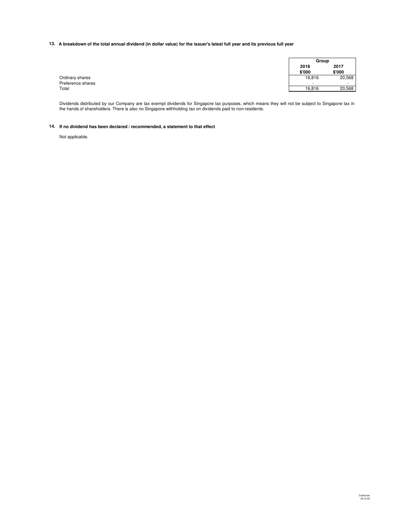#### **13. A breakdown of the total annual dividend (in dollar value) for the issuer's latest full year and its previous full year**

|                   | Group          |                |
|-------------------|----------------|----------------|
|                   | 2018<br>\$'000 | 2017<br>\$'000 |
| Ordinary shares   | 16,816         | 20,568         |
| Preference shares |                | . .            |
| Total             | 16,816         | 20,568         |

Dividends distributed by our Company are tax exempt dividends for Singapore tax purposes, which means they will not be subject to Singapore tax in<br>the hands of shareholders. There is also no Singapore withholding tax on di

#### **14. If no dividend has been declared / recommended, a statement to that effect**

Not applicable.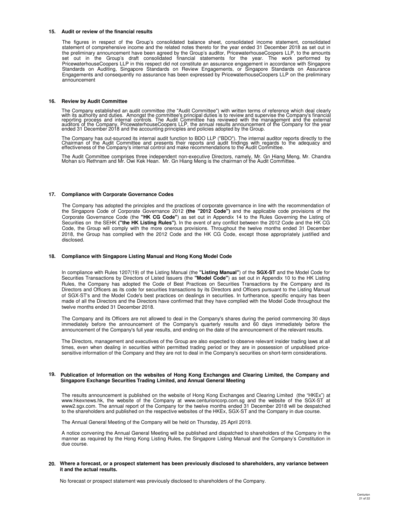#### **15. Audit or review of the financial results**

The figures in respect of the Group's consolidated balance sheet, consolidated income statement, consolidated statement of comprehensive income and the related notes thereto for the year ended 31 December 2018 as set out in the preliminary announcement have been agreed by the Group's auditor, PricewaterhouseCoopers LLP, to the amounts set out in the Group's draft consolidated financial statements for the year. The work performed by PricewaterhouseCoopers LLP in this respect did not constitute an assurance engagement in accordance with Singapore Standards on Auditing, Singapore Standards on Review Engagements, or Singapore Standards on Assurance Engagements and consequently no assurance has been expressed by PricewaterhouseCoopers LLP on the preliminary announcement

#### **16. Review by Audit Committee**

The Company established an audit committee (the "Audit Committee") with written terms of reference which deal clearly with its authority and duties. Amongst the committee's principal duties is to review and supervise the Company's financial<br>reporting process and internal controls. The Audit Committee has reviewed with the management and t

The Company has out-sourced its internal audit function to BDO LLP ("BDO"). The internal auditor reports directly to the<br>Chairman of the Audit Committee and presents their reports and audit findings with regards to the ade

The Audit Committee comprises three independent non-executive Directors, namely, Mr. Gn Hiang Meng, Mr. Chandra Mohan s/o Rethnam and Mr. Owi Kek Hean. Mr. Gn Hiang Meng is the chairman of the Audit Committee.

#### **17. Compliance with Corporate Governance Codes**

The Company has adopted the principles and the practices of corporate governance in line with the recommendation of the Singapore Code of Corporate Governance 2012 **(the "2012 Code")** and the applicable code provisions of the Corporate Governance Code (the **"HK CG Code"**) as set out in Appendix 14 to the Rules Governing the Listing of Securities on the SEHK **("the HK Listing Rules")**. In the event of any conflict between the 2012 Code and the HK CG Code, the Group will comply with the more onerous provisions. Throughout the twelve months ended 31 December 2018, the Group has complied with the 2012 Code and the HK CG Code, except those appropriately justified and disclosed.

#### **18. Compliance with Singapore Listing Manual and Hong Kong Model Code**

In compliance with Rules 1207(19) of the Listing Manual (the **"Listing Manual"**) of the **SGX-ST** and the Model Code for Securities Transactions by Directors of Listed Issuers (the **"Model Code"**) as set out in Appendix 10 to the HK Listing Rules, the Company has adopted the Code of Best Practices on Securities Transactions by the Company and its Directors and Officers as its code for securities transactions by its Directors and Officers pursuant to the Listing Manual of SGX-ST's and the Model Code's best practices on dealings in securities. In furtherance, specific enquiry has been made of all the Directors and the Directors have confirmed that they have complied with the Model Code throughout the twelve months ended 31 December 2018.

The Company and its Officers are not allowed to deal in the Company's shares during the period commencing 30 days immediately before the announcement of the Company's quarterly results and 60 days immediately before the announcement of the Company's full year results, and ending on the date of the announcement of the relevant results.

The Directors, management and executives of the Group are also expected to observe relevant insider trading laws at all times, even when dealing in securities within permitted trading period or they are in possession of unpublised pricesensitive information of the Company and they are not to deal in the Company's securities on short-term considerations.

#### **19. Publication of Information on the websites of Hong Kong Exchanges and Clearing Limited, the Company and Singapore Exchange Securities Trading Limited, and Annual General Meeting**

The results announcement is published on the website of Hong Kong Exchanges and Clearing Limited (the "HKEx") at www.hkexnews.hk, the website of the Company at www.centurioncorp.com.sg and the website of the SGX-ST at www2.sgx.com. The annual report of the Company for the twelve months ended 31 December 2018 will be despatched to the shareholders and published on the respective websites of the HKEx, SGX-ST and the Company in due course.

The Annual General Meeting of the Company will be held on Thursday, 25 April 2019.

A notice convening the Annual General Meeting will be published and dispatched to shareholders of the Company in the manner as required by the Hong Kong Listing Rules, the Singapore Listing Manual and the Company's Constitution in due course.

#### **20. Where a forecast, or a prospect statement has been previously disclosed to shareholders, any variance between it and the actual results.**

No forecast or prospect statement was previously disclosed to shareholders of the Company.